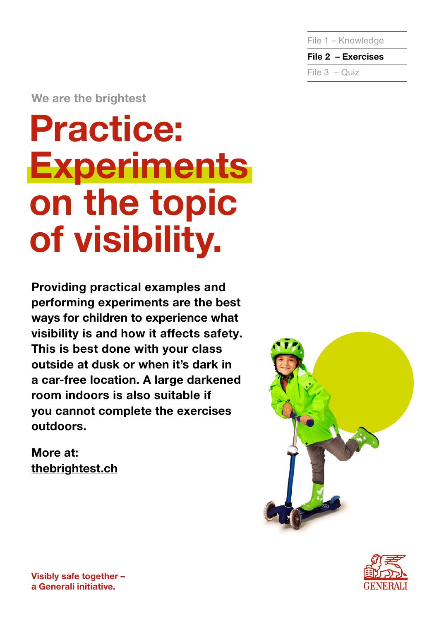File 1 – Knowledge

File 2 – Exercises File 3 – Quiz

We are the brightest

# Practice: **Experiments** on the topic of visibility.

Providing practical examples and performing experiments are the best ways for children to experience what visibility is and how it affects safety. This is best done with your class outside at dusk or when it's dark in a car-free location. A large darkened room indoors is also suitable if you cannot complete the exercises outdoors.

More at: [thebrightest.ch](http://thebrightest.ch)



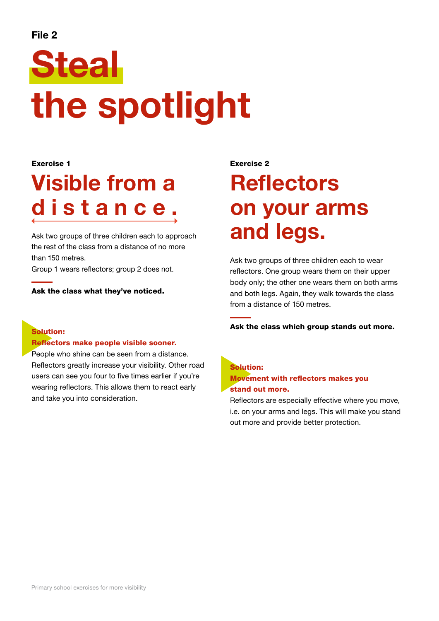### File 2

# Steal the spotlight

#### Exercise 1

## Visible from a distance.

Ask two groups of three children each to approach the rest of the class from a distance of no more than 150 metres.

Group 1 wears reflectors; group 2 does not.

Ask the class what they've noticed.

### Solution:

#### Reflectors make people visible sooner.

People who shine can be seen from a distance. Reflectors greatly increase your visibility. Other road users can see you four to five times earlier if you're wearing reflectors. This allows them to react early and take you into consideration.

#### Exercise 2

## **Reflectors** on your arms and legs.

Ask two groups of three children each to wear reflectors. One group wears them on their upper body only; the other one wears them on both arms and both legs. Again, they walk towards the class from a distance of 150 metres.

#### Ask the class which group stands out more.

### Solution: Movement with reflectors makes you stand out more.

Reflectors are especially effective where you move, i.e. on your arms and legs. This will make you stand out more and provide better protection.